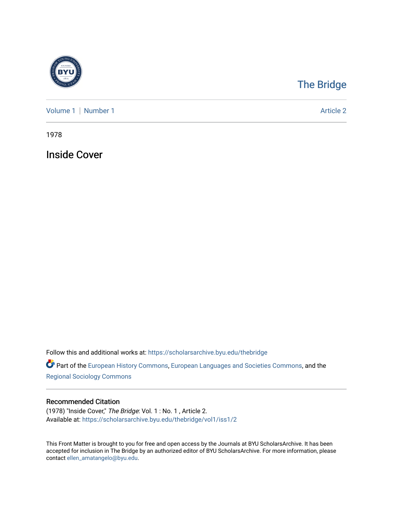

## [The Bridge](https://scholarsarchive.byu.edu/thebridge)

[Volume 1](https://scholarsarchive.byu.edu/thebridge/vol1) | [Number 1](https://scholarsarchive.byu.edu/thebridge/vol1/iss1) Article 2

1978

Inside Cover

Follow this and additional works at: [https://scholarsarchive.byu.edu/thebridge](https://scholarsarchive.byu.edu/thebridge?utm_source=scholarsarchive.byu.edu%2Fthebridge%2Fvol1%2Fiss1%2F2&utm_medium=PDF&utm_campaign=PDFCoverPages) 

**Part of the [European History Commons](http://network.bepress.com/hgg/discipline/492?utm_source=scholarsarchive.byu.edu%2Fthebridge%2Fvol1%2Fiss1%2F2&utm_medium=PDF&utm_campaign=PDFCoverPages), [European Languages and Societies Commons,](http://network.bepress.com/hgg/discipline/482?utm_source=scholarsarchive.byu.edu%2Fthebridge%2Fvol1%2Fiss1%2F2&utm_medium=PDF&utm_campaign=PDFCoverPages) and the** [Regional Sociology Commons](http://network.bepress.com/hgg/discipline/427?utm_source=scholarsarchive.byu.edu%2Fthebridge%2Fvol1%2Fiss1%2F2&utm_medium=PDF&utm_campaign=PDFCoverPages) 

## Recommended Citation

(1978) "Inside Cover," The Bridge: Vol. 1 : No. 1 , Article 2. Available at: [https://scholarsarchive.byu.edu/thebridge/vol1/iss1/2](https://scholarsarchive.byu.edu/thebridge/vol1/iss1/2?utm_source=scholarsarchive.byu.edu%2Fthebridge%2Fvol1%2Fiss1%2F2&utm_medium=PDF&utm_campaign=PDFCoverPages)

This Front Matter is brought to you for free and open access by the Journals at BYU ScholarsArchive. It has been accepted for inclusion in The Bridge by an authorized editor of BYU ScholarsArchive. For more information, please contact [ellen\\_amatangelo@byu.edu.](mailto:ellen_amatangelo@byu.edu)